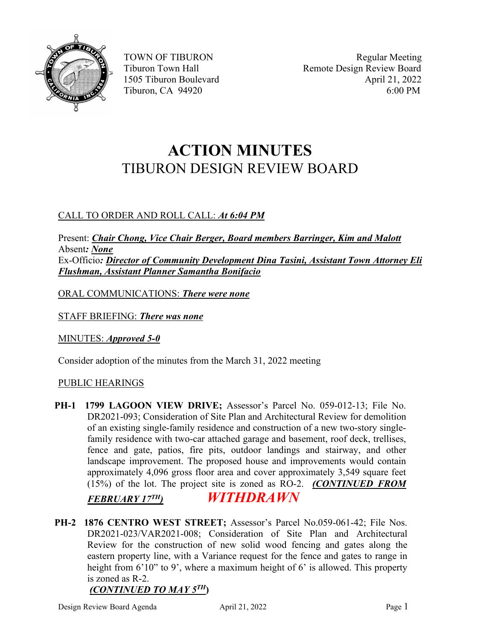

# **ACTION MINUTES** TIBURON DESIGN REVIEW BOARD

## CALL TO ORDER AND ROLL CALL: *At 6:04 PM*

Present: *Chair Chong, Vice Chair Berger, Board members Barringer, Kim and Malott* Absent*: None* Ex-Officio*: Director of Community Development Dina Tasini, Assistant Town Attorney Eli Flushman, Assistant Planner Samantha Bonifacio*

ORAL COMMUNICATIONS: *There were none*

STAFF BRIEFING: *There was none*

MINUTES: *Approved 5-0*

Consider adoption of the minutes from the March 31, 2022 meeting

#### PUBLIC HEARINGS

**PH-1 1799 LAGOON VIEW DRIVE;** Assessor's Parcel No. 059-012-13; File No. DR2021-093; Consideration of Site Plan and Architectural Review for demolition of an existing single-family residence and construction of a new two-story singlefamily residence with two-car attached garage and basement, roof deck, trellises, fence and gate, patios, fire pits, outdoor landings and stairway, and other landscape improvement. The proposed house and improvements would contain approximately 4,096 gross floor area and cover approximately 3,549 square feet (15%) of the lot. The project site is zoned as RO-2. *(CONTINUED FROM*

### *FEBRUARY 17TH) WITHDRAWN*

**PH-2 1876 CENTRO WEST STREET;** Assessor's Parcel No.059-061-42; File Nos. DR2021-023/VAR2021-008; Consideration of Site Plan and Architectural Review for the construction of new solid wood fencing and gates along the eastern property line, with a Variance request for the fence and gates to range in height from 6'10" to 9', where a maximum height of 6' is allowed. This property is zoned as R-2.

## *(CONTINUED TO MAY 5TH***)**